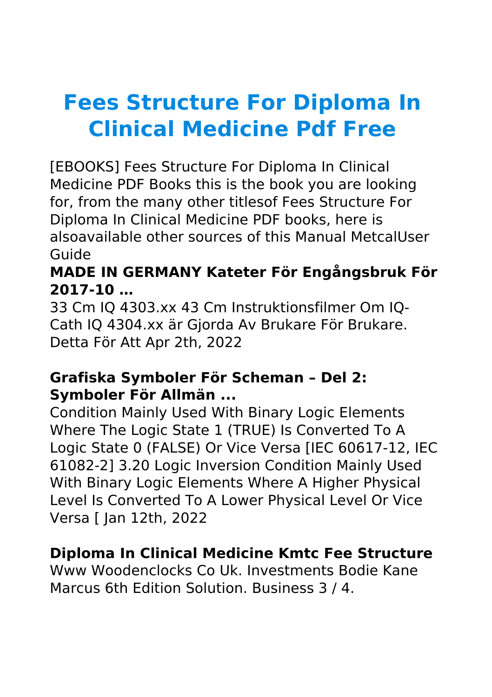# **Fees Structure For Diploma In Clinical Medicine Pdf Free**

[EBOOKS] Fees Structure For Diploma In Clinical Medicine PDF Books this is the book you are looking for, from the many other titlesof Fees Structure For Diploma In Clinical Medicine PDF books, here is alsoavailable other sources of this Manual MetcalUser Guide

# **MADE IN GERMANY Kateter För Engångsbruk För 2017-10 …**

33 Cm IQ 4303.xx 43 Cm Instruktionsfilmer Om IQ-Cath IQ 4304.xx är Gjorda Av Brukare För Brukare. Detta För Att Apr 2th, 2022

# **Grafiska Symboler För Scheman – Del 2: Symboler För Allmän ...**

Condition Mainly Used With Binary Logic Elements Where The Logic State 1 (TRUE) Is Converted To A Logic State 0 (FALSE) Or Vice Versa [IEC 60617-12, IEC 61082-2] 3.20 Logic Inversion Condition Mainly Used With Binary Logic Elements Where A Higher Physical Level Is Converted To A Lower Physical Level Or Vice Versa [ Jan 12th, 2022

# **Diploma In Clinical Medicine Kmtc Fee Structure**

Www Woodenclocks Co Uk. Investments Bodie Kane Marcus 6th Edition Solution. Business 3 / 4.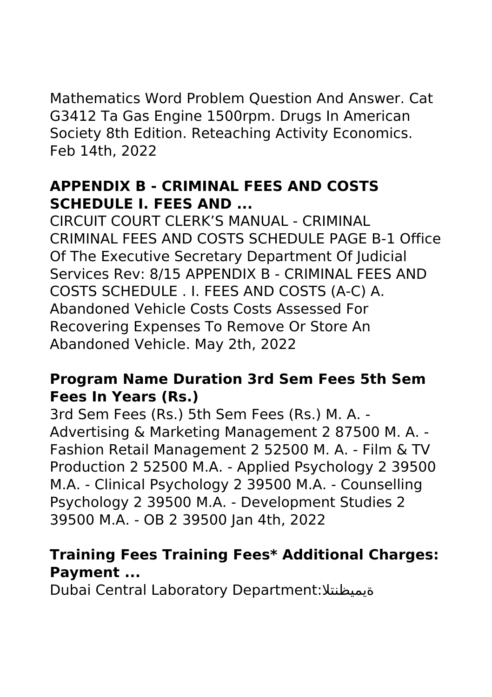Mathematics Word Problem Question And Answer. Cat G3412 Ta Gas Engine 1500rpm. Drugs In American Society 8th Edition. Reteaching Activity Economics. Feb 14th, 2022

# **APPENDIX B - CRIMINAL FEES AND COSTS SCHEDULE I. FEES AND ...**

CIRCUIT COURT CLERK'S MANUAL - CRIMINAL CRIMINAL FEES AND COSTS SCHEDULE PAGE B-1 Office Of The Executive Secretary Department Of Judicial Services Rev: 8/15 APPENDIX B - CRIMINAL FEES AND COSTS SCHEDULE . I. FEES AND COSTS (A-C) A. Abandoned Vehicle Costs Costs Assessed For Recovering Expenses To Remove Or Store An Abandoned Vehicle. May 2th, 2022

#### **Program Name Duration 3rd Sem Fees 5th Sem Fees In Years (Rs.)**

3rd Sem Fees (Rs.) 5th Sem Fees (Rs.) M. A. ‐ Advertising & Marketing Management 2 87500 M. A. ‐ Fashion Retail Management 2 52500 M. A. ‐ Film & TV Production 2 52500 M.A. ‐ Applied Psychology 2 39500 M.A. ‐ Clinical Psychology 2 39500 M.A. ‐ Counselling Psychology 2 39500 M.A. ‐ Development Studies 2 39500 M.A. ‐ OB 2 39500 Jan 4th, 2022

# **Training Fees Training Fees\* Additional Charges: Payment ...**

Dubai Central Laboratory Department:ةيميظنتلا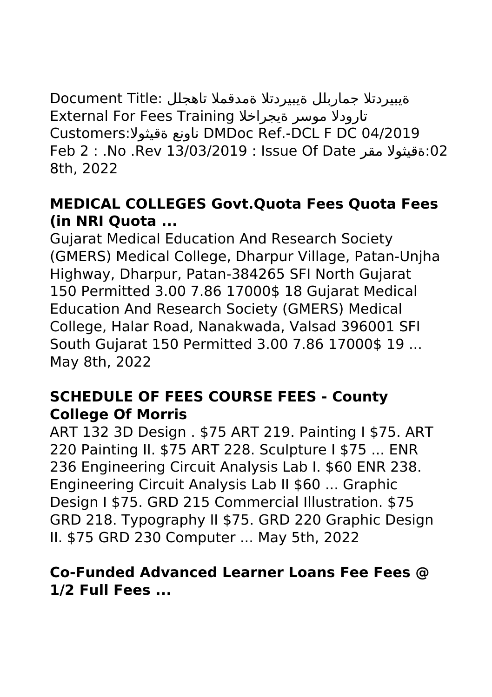ةيبيردتلا جماربلل ةيبيردتلا ةمدقملا تاهجلل :Title Document External For Fees Training ةيجراخلا موسر تارودلا Customers:ةقيثولا ناونع DMDoc Ref.-DCL F DC 04/2019 Feb 2 : .No .Rev 13/03/2019 : Issue Of Date مقر ةقيثولا:02 8th, 2022

# **MEDICAL COLLEGES Govt.Quota Fees Quota Fees (in NRI Quota ...**

Gujarat Medical Education And Research Society (GMERS) Medical College, Dharpur Village, Patan-Unjha Highway, Dharpur, Patan-384265 SFI North Gujarat 150 Permitted 3.00 7.86 17000\$ 18 Gujarat Medical Education And Research Society (GMERS) Medical College, Halar Road, Nanakwada, Valsad 396001 SFI South Gujarat 150 Permitted 3.00 7.86 17000\$ 19 ... May 8th, 2022

# **SCHEDULE OF FEES COURSE FEES - County College Of Morris**

ART 132 3D Design . \$75 ART 219. Painting I \$75. ART 220 Painting II. \$75 ART 228. Sculpture I \$75 ... ENR 236 Engineering Circuit Analysis Lab I. \$60 ENR 238. Engineering Circuit Analysis Lab II \$60 ... Graphic Design I \$75. GRD 215 Commercial Illustration. \$75 GRD 218. Typography II \$75. GRD 220 Graphic Design II. \$75 GRD 230 Computer ... May 5th, 2022

# **Co-Funded Advanced Learner Loans Fee Fees @ 1/2 Full Fees ...**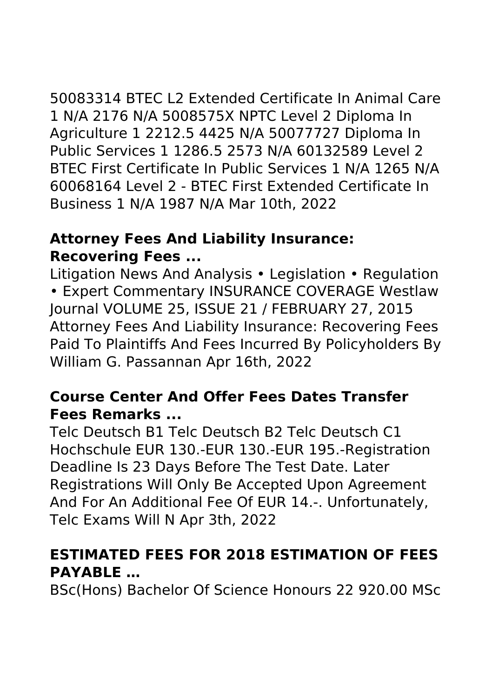50083314 BTEC L2 Extended Certificate In Animal Care 1 N/A 2176 N/A 5008575X NPTC Level 2 Diploma In Agriculture 1 2212.5 4425 N/A 50077727 Diploma In Public Services 1 1286.5 2573 N/A 60132589 Level 2 BTEC First Certificate In Public Services 1 N/A 1265 N/A 60068164 Level 2 - BTEC First Extended Certificate In Business 1 N/A 1987 N/A Mar 10th, 2022

# **Attorney Fees And Liability Insurance: Recovering Fees ...**

Litigation News And Analysis • Legislation • Regulation • Expert Commentary INSURANCE COVERAGE Westlaw Journal VOLUME 25, ISSUE 21 / FEBRUARY 27, 2015 Attorney Fees And Liability Insurance: Recovering Fees Paid To Plaintiffs And Fees Incurred By Policyholders By William G. Passannan Apr 16th, 2022

# **Course Center And Offer Fees Dates Transfer Fees Remarks ...**

Telc Deutsch B1 Telc Deutsch B2 Telc Deutsch C1 Hochschule EUR 130.-EUR 130.-EUR 195.-Registration Deadline Is 23 Days Before The Test Date. Later Registrations Will Only Be Accepted Upon Agreement And For An Additional Fee Of EUR 14.-. Unfortunately, Telc Exams Will N Apr 3th, 2022

# **ESTIMATED FEES FOR 2018 ESTIMATION OF FEES PAYABLE …**

BSc(Hons) Bachelor Of Science Honours 22 920.00 MSc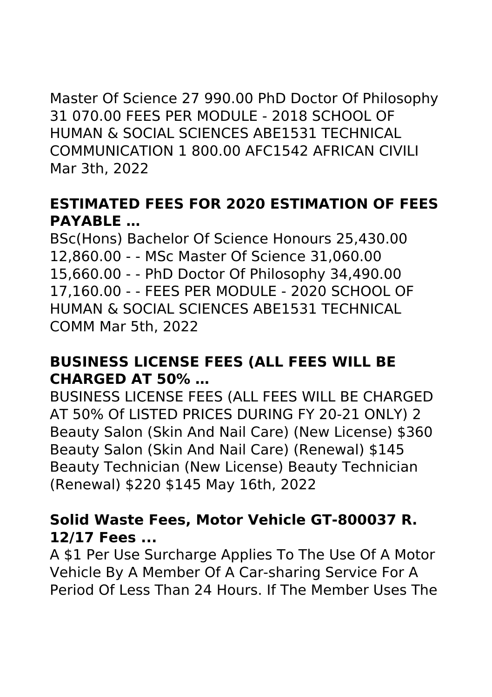Master Of Science 27 990.00 PhD Doctor Of Philosophy 31 070.00 FEES PER MODULE - 2018 SCHOOL OF HUMAN & SOCIAL SCIENCES ABE1531 TECHNICAL COMMUNICATION 1 800.00 AFC1542 AFRICAN CIVILI Mar 3th, 2022

# **ESTIMATED FEES FOR 2020 ESTIMATION OF FEES PAYABLE …**

BSc(Hons) Bachelor Of Science Honours 25,430.00 12,860.00 - - MSc Master Of Science 31,060.00 15,660.00 - - PhD Doctor Of Philosophy 34,490.00 17,160.00 - - FEES PER MODULE - 2020 SCHOOL OF HUMAN & SOCIAL SCIENCES ABE1531 TECHNICAL COMM Mar 5th, 2022

#### **BUSINESS LICENSE FEES (ALL FEES WILL BE CHARGED AT 50% …**

BUSINESS LICENSE FEES (ALL FEES WILL BE CHARGED AT 50% Of LISTED PRICES DURING FY 20-21 ONLY) 2 Beauty Salon (Skin And Nail Care) (New License) \$360 Beauty Salon (Skin And Nail Care) (Renewal) \$145 Beauty Technician (New License) Beauty Technician (Renewal) \$220 \$145 May 16th, 2022

# **Solid Waste Fees, Motor Vehicle GT-800037 R. 12/17 Fees ...**

A \$1 Per Use Surcharge Applies To The Use Of A Motor Vehicle By A Member Of A Car-sharing Service For A Period Of Less Than 24 Hours. If The Member Uses The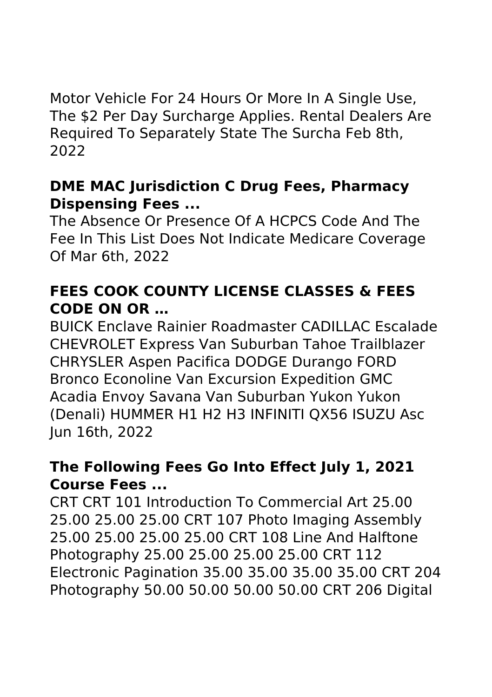Motor Vehicle For 24 Hours Or More In A Single Use, The \$2 Per Day Surcharge Applies. Rental Dealers Are Required To Separately State The Surcha Feb 8th, 2022

#### **DME MAC Jurisdiction C Drug Fees, Pharmacy Dispensing Fees ...**

The Absence Or Presence Of A HCPCS Code And The Fee In This List Does Not Indicate Medicare Coverage Of Mar 6th, 2022

# **FEES COOK COUNTY LICENSE CLASSES & FEES CODE ON OR …**

BUICK Enclave Rainier Roadmaster CADILLAC Escalade CHEVROLET Express Van Suburban Tahoe Trailblazer CHRYSLER Aspen Pacifica DODGE Durango FORD Bronco Econoline Van Excursion Expedition GMC Acadia Envoy Savana Van Suburban Yukon Yukon (Denali) HUMMER H1 H2 H3 INFINITI QX56 ISUZU Asc Jun 16th, 2022

# **The Following Fees Go Into Effect July 1, 2021 Course Fees ...**

CRT CRT 101 Introduction To Commercial Art 25.00 25.00 25.00 25.00 CRT 107 Photo Imaging Assembly 25.00 25.00 25.00 25.00 CRT 108 Line And Halftone Photography 25.00 25.00 25.00 25.00 CRT 112 Electronic Pagination 35.00 35.00 35.00 35.00 CRT 204 Photography 50.00 50.00 50.00 50.00 CRT 206 Digital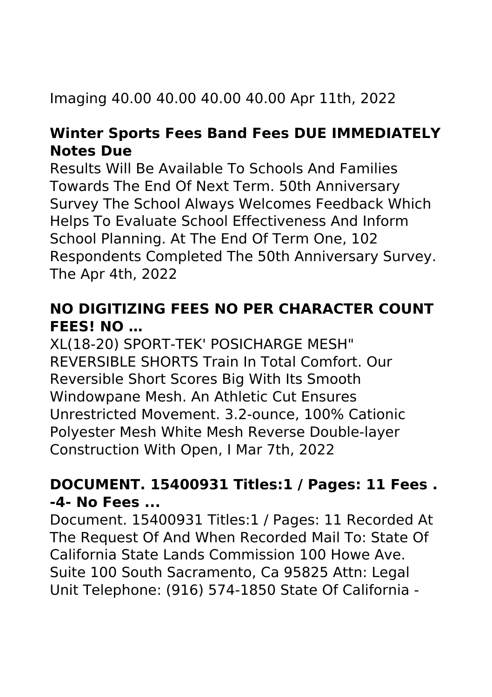# Imaging 40.00 40.00 40.00 40.00 Apr 11th, 2022

# **Winter Sports Fees Band Fees DUE IMMEDIATELY Notes Due**

Results Will Be Available To Schools And Families Towards The End Of Next Term. 50th Anniversary Survey The School Always Welcomes Feedback Which Helps To Evaluate School Effectiveness And Inform School Planning. At The End Of Term One, 102 Respondents Completed The 50th Anniversary Survey. The Apr 4th, 2022

# **NO DIGITIZING FEES NO PER CHARACTER COUNT FEES! NO …**

XL(18-20) SPORT-TEK' POSICHARGE MESH" REVERSIBLE SHORTS Train In Total Comfort. Our Reversible Short Scores Big With Its Smooth Windowpane Mesh. An Athletic Cut Ensures Unrestricted Movement. 3.2-ounce, 100% Cationic Polyester Mesh White Mesh Reverse Double-layer Construction With Open, I Mar 7th, 2022

# **DOCUMENT. 15400931 Titles:1 / Pages: 11 Fees . -4- No Fees ...**

Document. 15400931 Titles:1 / Pages: 11 Recorded At The Request Of And When Recorded Mail To: State Of California State Lands Commission 100 Howe Ave. Suite 100 South Sacramento, Ca 95825 Attn: Legal Unit Telephone: (916) 574-1850 State Of California -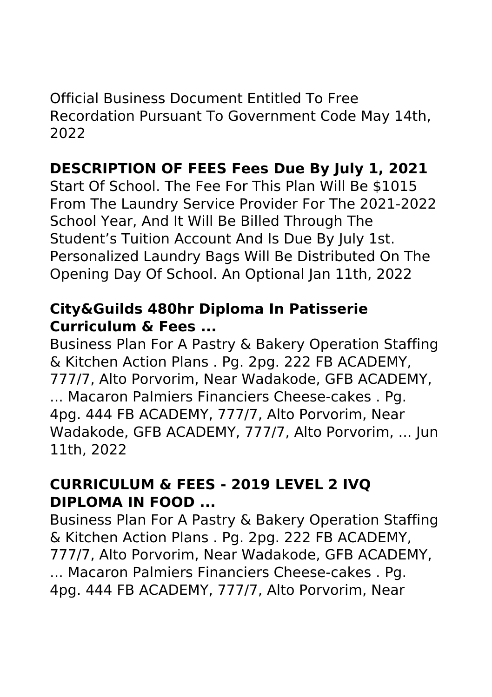Official Business Document Entitled To Free Recordation Pursuant To Government Code May 14th, 2022

# **DESCRIPTION OF FEES Fees Due By July 1, 2021**

Start Of School. The Fee For This Plan Will Be \$1015 From The Laundry Service Provider For The 2021-2022 School Year, And It Will Be Billed Through The Student's Tuition Account And Is Due By July 1st. Personalized Laundry Bags Will Be Distributed On The Opening Day Of School. An Optional Jan 11th, 2022

# **City&Guilds 480hr Diploma In Patisserie Curriculum & Fees ...**

Business Plan For A Pastry & Bakery Operation Staffing & Kitchen Action Plans . Pg. 2pg. 222 FB ACADEMY, 777/7, Alto Porvorim, Near Wadakode, GFB ACADEMY, ... Macaron Palmiers Financiers Cheese-cakes . Pg. 4pg. 444 FB ACADEMY, 777/7, Alto Porvorim, Near Wadakode, GFB ACADEMY, 777/7, Alto Porvorim, ... Jun 11th, 2022

# **CURRICULUM & FEES - 2019 LEVEL 2 IVQ DIPLOMA IN FOOD ...**

Business Plan For A Pastry & Bakery Operation Staffing & Kitchen Action Plans . Pg. 2pg. 222 FB ACADEMY, 777/7, Alto Porvorim, Near Wadakode, GFB ACADEMY, ... Macaron Palmiers Financiers Cheese-cakes . Pg. 4pg. 444 FB ACADEMY, 777/7, Alto Porvorim, Near